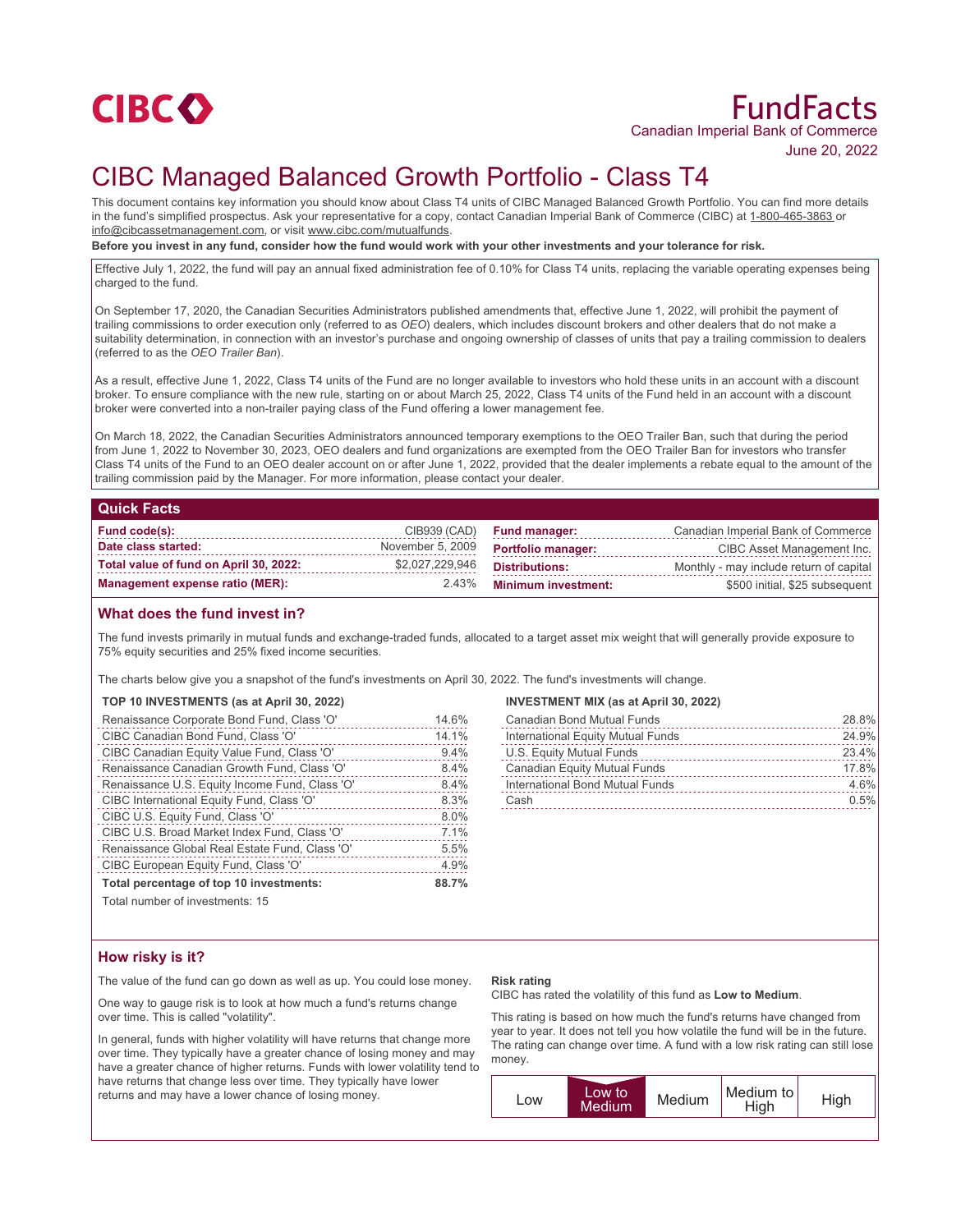

# FundFacts Canadian Imperial Bank of Commerce

June 20, 2022

# CIBC Managed Balanced Growth Portfolio - Class T4

This document contains key information you should know about Class T4 units of CIBC Managed Balanced Growth Portfolio. You can find more details in the fund's simplified prospectus. Ask your representative for a copy, contact Canadian Imperial Bank of Commerce (CIBC) at 1-800-465-3863 or info@cibcassetmanagement.com, or visit www.cibc.com/mutualfunds.

**Before you invest in any fund, consider how the fund would work with your other investments and your tolerance for risk.**

Effective July 1, 2022, the fund will pay an annual fixed administration fee of 0.10% for Class T4 units, replacing the variable operating expenses being charged to the fund.

On September 17, 2020, the Canadian Securities Administrators published amendments that, effective June 1, 2022, will prohibit the payment of trailing commissions to order execution only (referred to as *OEO*) dealers, which includes discount brokers and other dealers that do not make a suitability determination, in connection with an investor's purchase and ongoing ownership of classes of units that pay a trailing commission to dealers (referred to as the *OEO Trailer Ban*).

As a result, effective June 1, 2022, Class T4 units of the Fund are no longer available to investors who hold these units in an account with a discount broker. To ensure compliance with the new rule, starting on or about March 25, 2022, Class T4 units of the Fund held in an account with a discount broker were converted into a non-trailer paying class of the Fund offering a lower management fee.

On March 18, 2022, the Canadian Securities Administrators announced temporary exemptions to the OEO Trailer Ban, such that during the period from June 1, 2022 to November 30, 2023, OEO dealers and fund organizations are exempted from the OEO Trailer Ban for investors who transfer Class T4 units of the Fund to an OEO dealer account on or after June 1, 2022, provided that the dealer implements a rebate equal to the amount of the trailing commission paid by the Manager. For more information, please contact your dealer.

## **Quick Facts**

| Fund code(s):                          |                  | CIB939 (CAD) Fund manager: | Canadian Imperial Bank of Commerce      |
|----------------------------------------|------------------|----------------------------|-----------------------------------------|
| Date class started:                    | November 5, 2009 | <b>Portfolio manager:</b>  | CIBC Asset Management Inc.              |
| Total value of fund on April 30, 2022: | \$2,027,229,946  | Distributions:             | Monthly - may include return of capital |
| Management expense ratio (MER):        |                  | 2.43% Minimum investment:  | \$500 initial, \$25 subsequent          |

# **What does the fund invest in?**

The fund invests primarily in mutual funds and exchange-traded funds, allocated to a target asset mix weight that will generally provide exposure to 75% equity securities and 25% fixed income securities.

The charts below give you a snapshot of the fund's investments on April 30, 2022. The fund's investments will change.

## **TOP 10 INVESTMENTS (as at April 30, 2022)**

| Renaissance Corporate Bond Fund, Class 'O'     | 14.6% |
|------------------------------------------------|-------|
| CIBC Canadian Bond Fund, Class 'O'             | 14.1% |
| CIBC Canadian Equity Value Fund, Class 'O'     | 9.4%  |
| Renaissance Canadian Growth Fund, Class 'O'    | 8.4%  |
| Renaissance U.S. Equity Income Fund, Class 'O' | 8.4%  |
| CIBC International Equity Fund, Class 'O'      | 8.3%  |
| CIBC U.S. Equity Fund, Class 'O'               | 8.0%  |
| CIBC U.S. Broad Market Index Fund, Class 'O'   | 7.1%  |
| Renaissance Global Real Estate Fund, Class 'O' | 5.5%  |
| CIBC European Equity Fund, Class 'O'           | 4.9%  |
| Total percentage of top 10 investments:        | 88.7% |
|                                                |       |

Total number of investments: 15

## **INVESTMENT MIX (as at April 30, 2022)**

| <b>Canadian Bond Mutual Funds</b>   | 28.8% |
|-------------------------------------|-------|
| International Equity Mutual Funds   | 24.9% |
| U.S. Equity Mutual Funds            | 23.4% |
| <b>Canadian Equity Mutual Funds</b> | 17.8% |
| International Bond Mutual Funds     | 4.6%  |
| Cash                                | 0.5%  |

# **How risky is it?**

The value of the fund can go down as well as up. You could lose money.

One way to gauge risk is to look at how much a fund's returns change over time. This is called "volatility".

In general, funds with higher volatility will have returns that change more over time. They typically have a greater chance of losing money and may have a greater chance of higher returns. Funds with lower volatility tend to have returns that change less over time. They typically have lower returns and may have a lower chance of losing money.

#### **Risk rating**

CIBC has rated the volatility of this fund as **Low to Medium**.

This rating is based on how much the fund's returns have changed from year to year. It does not tell you how volatile the fund will be in the future. The rating can change over time. A fund with a low risk rating can still lose money.

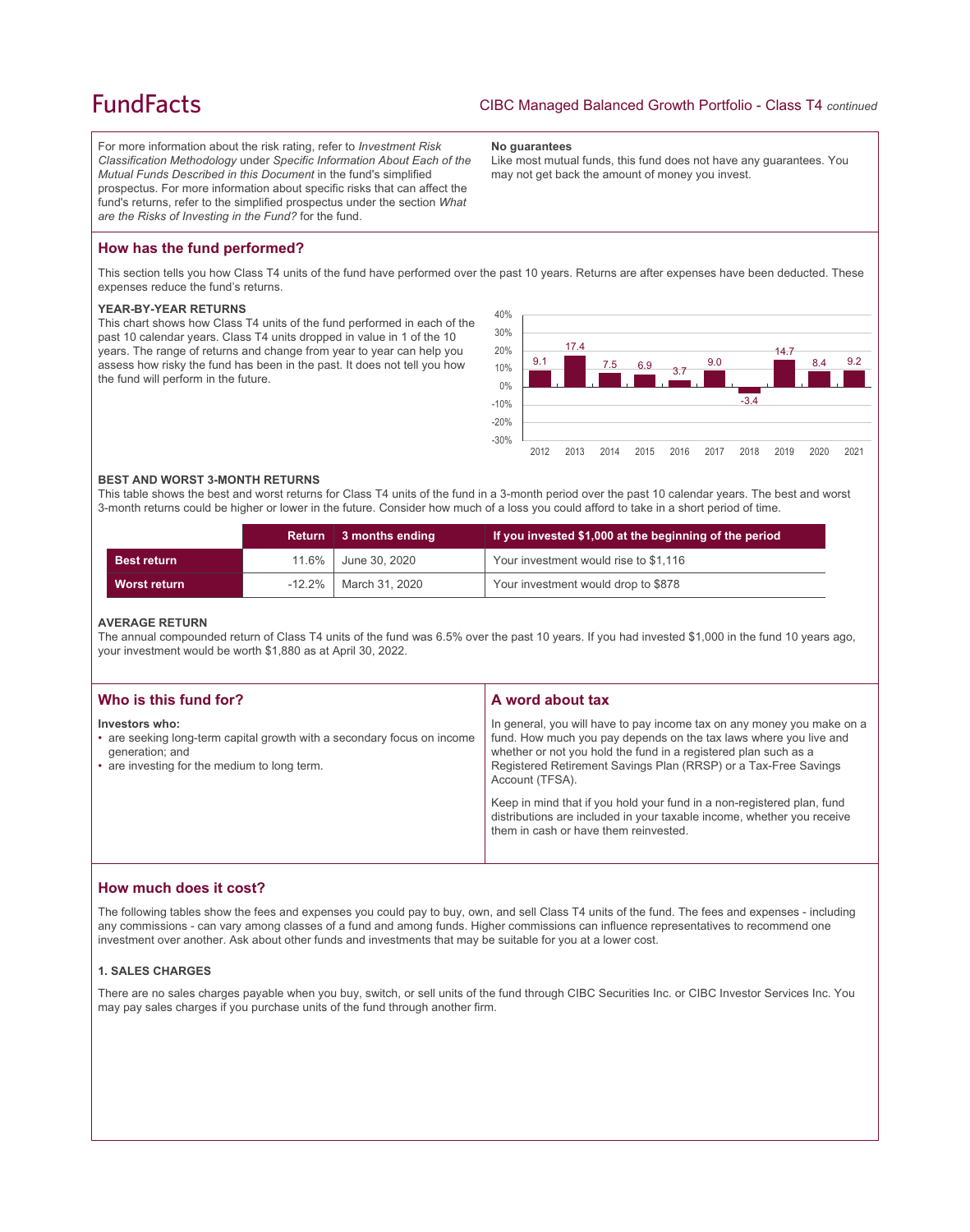# **FundFacts**

For more information about the risk rating, refer to *Investment Risk Classification Methodology* under *Specific Information About Each of the Mutual Funds Described in this Document* in the fund's simplified prospectus. For more information about specific risks that can affect the fund's returns, refer to the simplified prospectus under the section *What are the Risks of Investing in the Fund?* for the fund.

#### **No guarantees**

Like most mutual funds, this fund does not have any guarantees. You may not get back the amount of money you invest.

# **How has the fund performed?**

This section tells you how Class T4 units of the fund have performed over the past 10 years. Returns are after expenses have been deducted. These expenses reduce the fund's returns.

#### **YEAR-BY-YEAR RETURNS**

This chart shows how Class T4 units of the fund performed in each of the past 10 calendar years. Class T4 units dropped in value in 1 of the 10 years. The range of returns and change from year to year can help you assess how risky the fund has been in the past. It does not tell you how the fund will perform in the future.



#### **BEST AND WORST 3-MONTH RETURNS**

This table shows the best and worst returns for Class T4 units of the fund in a 3-month period over the past 10 calendar years. The best and worst 3-month returns could be higher or lower in the future. Consider how much of a loss you could afford to take in a short period of time.

|                     | <b>Return</b> | 3 months ending | If you invested \$1,000 at the beginning of the period |
|---------------------|---------------|-----------------|--------------------------------------------------------|
| <b>Best return</b>  | $11.6\%$      | June 30. 2020   | Your investment would rise to \$1,116                  |
| <b>Worst return</b> | $-12.2\%$     | March 31, 2020  | Your investment would drop to \$878                    |

#### **AVERAGE RETURN**

The annual compounded return of Class T4 units of the fund was 6.5% over the past 10 years. If you had invested \$1,000 in the fund 10 years ago, your investment would be worth \$1,880 as at April 30, 2022.

| Who is this fund for?                                                                                                                                        | A word about tax                                                                                                                                                                                                                                                                                     |
|--------------------------------------------------------------------------------------------------------------------------------------------------------------|------------------------------------------------------------------------------------------------------------------------------------------------------------------------------------------------------------------------------------------------------------------------------------------------------|
| Investors who:<br>• are seeking long-term capital growth with a secondary focus on income<br>generation; and<br>• are investing for the medium to long term. | In general, you will have to pay income tax on any money you make on a<br>fund. How much you pay depends on the tax laws where you live and<br>whether or not you hold the fund in a registered plan such as a<br>Registered Retirement Savings Plan (RRSP) or a Tax-Free Savings<br>Account (TFSA). |
|                                                                                                                                                              | Keep in mind that if you hold your fund in a non-registered plan, fund<br>distributions are included in your taxable income, whether you receive<br>them in cash or have them reinvested.                                                                                                            |

# **How much does it cost?**

The following tables show the fees and expenses you could pay to buy, own, and sell Class T4 units of the fund. The fees and expenses - including any commissions - can vary among classes of a fund and among funds. Higher commissions can influence representatives to recommend one investment over another. Ask about other funds and investments that may be suitable for you at a lower cost.

## **1. SALES CHARGES**

There are no sales charges payable when you buy, switch, or sell units of the fund through CIBC Securities Inc. or CIBC Investor Services Inc. You may pay sales charges if you purchase units of the fund through another firm.